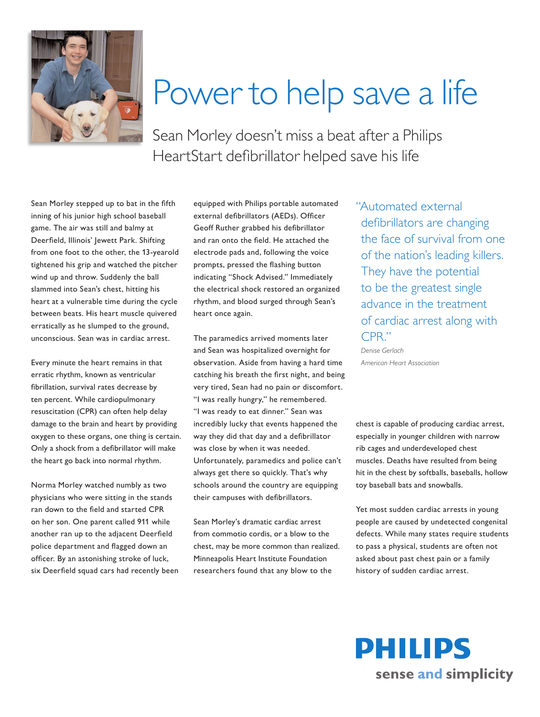

## Power to help save a life

Sean Morley doesn't miss a beat after a Philips HeartStart defibrillator helped save his life

Sean Morley stepped up to bat in the fifth inning of his junior high school baseball game. The air was still and balmy at Deerfield, Illinois' Jewett Park. Shifting from one foot to the other, the 13-yearold tightened his grip and watched the pitcher wind up and throw. Suddenly the ball slammed into Sean's chest, hitting his heart at a vulnerable time during the cycle between beats. His heart muscle quivered erratically as he slumped to the ground, unconscious. Sean was in cardiac arrest.

Every minute the heart remains in that erratic rhythm, known as ventricular fibrillation, survival rates decrease by ten percent. While cardiopulmonary resuscitation (CPR) can often help delay damage to the brain and heart by providing oxygen to these organs, one thing is certain. Only a shock from a defibrillator will make the heart go back into normal rhythm.

Norma Morley watched numbly as two physicians who were sitting in the stands ran down to the field and started CPR on her son. One parent called 911 while another ran up to the adjacent Deerfield police department and flagged down an officer. By an astonishing stroke of luck, six Deerfield squad cars had recently been equipped with Philips portable automated external defibrillators (AEDs). Officer Geoff Ruther grabbed his defibrillator and ran onto the field. He attached the electrode pads and, following the voice prompts, pressed the flashing button indicating "Shock Advised." Immediately the electrical shock restored an organized rhythm, and blood surged through Sean's heart once again.

The paramedics arrived moments later and Sean was hospitalized overnight for observation. Aside from having a hard time catching his breath the first night, and being very tired, Sean had no pain or discomfort. "I was really hungry," he remembered. "I was ready to eat dinner." Sean was incredibly lucky that events happened the way they did that day and a defibrillator was close by when it was needed. Unfortunately, paramedics and police can't always get there so quickly. That's why schools around the country are equipping their campuses with defibrillators.

Sean Morley's dramatic cardiac arrest from commotio cordis, or a blow to the chest, may be more common than realized. Minneapolis Heart Institute Foundation researchers found that any blow to the

"Automated external defibrillators are changing the face of survival from one of the nation's leading killers. They have the potential to be the greatest single advance in the treatment of cardiac arrest along with CPR."

*Denise Gerlach American Heart Association*

chest is capable of producing cardiac arrest, especially in younger children with narrow rib cages and underdeveloped chest muscles. Deaths have resulted from being hit in the chest by softballs, baseballs, hollow toy baseball bats and snowballs.

Yet most sudden cardiac arrests in young people are caused by undetected congenital defects. While many states require students to pass a physical, students are often not asked about past chest pain or a family history of sudden cardiac arrest.